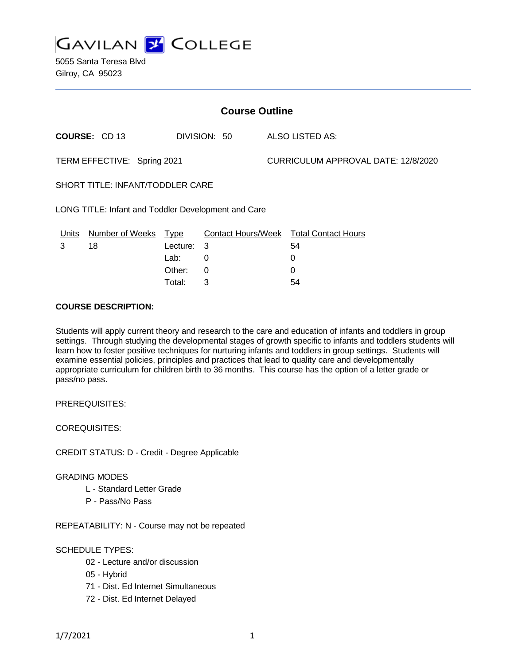

5055 Santa Teresa Blvd Gilroy, CA 95023

| <b>Course Outline</b>                               |                      |            |              |  |                                               |  |
|-----------------------------------------------------|----------------------|------------|--------------|--|-----------------------------------------------|--|
|                                                     | <b>COURSE: CD 13</b> |            | DIVISION: 50 |  | ALSO LISTED AS:                               |  |
| TERM EFFECTIVE: Spring 2021                         |                      |            |              |  | CURRICULUM APPROVAL DATE: 12/8/2020           |  |
| SHORT TITLE: INFANT/TODDLER CARE                    |                      |            |              |  |                                               |  |
| LONG TITLE: Infant and Toddler Development and Care |                      |            |              |  |                                               |  |
| <u>Units</u>                                        | Number of Weeks Type |            |              |  | <b>Contact Hours/Week Total Contact Hours</b> |  |
| 3                                                   | 18                   | Lecture: 3 |              |  | 54                                            |  |
|                                                     |                      | Lab:       | 0            |  | 0                                             |  |
|                                                     |                      | Other:     | 0            |  | 0                                             |  |
|                                                     |                      | Total:     | 3            |  | 54                                            |  |

### **COURSE DESCRIPTION:**

Students will apply current theory and research to the care and education of infants and toddlers in group settings. Through studying the developmental stages of growth specific to infants and toddlers students will learn how to foster positive techniques for nurturing infants and toddlers in group settings. Students will examine essential policies, principles and practices that lead to quality care and developmentally appropriate curriculum for children birth to 36 months. This course has the option of a letter grade or pass/no pass.

PREREQUISITES:

COREQUISITES:

CREDIT STATUS: D - Credit - Degree Applicable

### GRADING MODES

- L Standard Letter Grade
- P Pass/No Pass

REPEATABILITY: N - Course may not be repeated

### SCHEDULE TYPES:

- 02 Lecture and/or discussion
- 05 Hybrid
- 71 Dist. Ed Internet Simultaneous
- 72 Dist. Ed Internet Delayed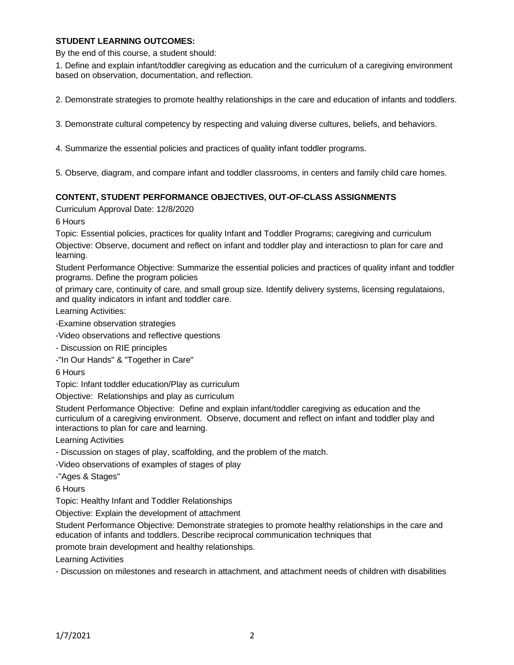## **STUDENT LEARNING OUTCOMES:**

By the end of this course, a student should:

1. Define and explain infant/toddler caregiving as education and the curriculum of a caregiving environment based on observation, documentation, and reflection.

2. Demonstrate strategies to promote healthy relationships in the care and education of infants and toddlers.

3. Demonstrate cultural competency by respecting and valuing diverse cultures, beliefs, and behaviors.

4. Summarize the essential policies and practices of quality infant toddler programs.

5. Observe, diagram, and compare infant and toddler classrooms, in centers and family child care homes.

### **CONTENT, STUDENT PERFORMANCE OBJECTIVES, OUT-OF-CLASS ASSIGNMENTS**

Curriculum Approval Date: 12/8/2020

6 Hours

Topic: Essential policies, practices for quality Infant and Toddler Programs; caregiving and curriculum

Objective: Observe, document and reflect on infant and toddler play and interactiosn to plan for care and learning.

Student Performance Objective: Summarize the essential policies and practices of quality infant and toddler programs. Define the program policies

of primary care, continuity of care, and small group size. Identify delivery systems, licensing regulataions, and quality indicators in infant and toddler care.

Learning Activities:

-Examine observation strategies

-Video observations and reflective questions

- Discussion on RIE principles

-"In Our Hands" & "Together in Care"

6 Hours

Topic: Infant toddler education/Play as curriculum

Objective: Relationships and play as curriculum

Student Performance Objective: Define and explain infant/toddler caregiving as education and the curriculum of a caregiving environment. Observe, document and reflect on infant and toddler play and interactions to plan for care and learning.

Learning Activities

- Discussion on stages of play, scaffolding, and the problem of the match.

-Video observations of examples of stages of play

-"Ages & Stages"

6 Hours

Topic: Healthy Infant and Toddler Relationships

Objective: Explain the development of attachment

Student Performance Objective: Demonstrate strategies to promote healthy relationships in the care and education of infants and toddlers. Describe reciprocal communication techniques that

promote brain development and healthy relationships.

Learning Activities

- Discussion on milestones and research in attachment, and attachment needs of children with disabilities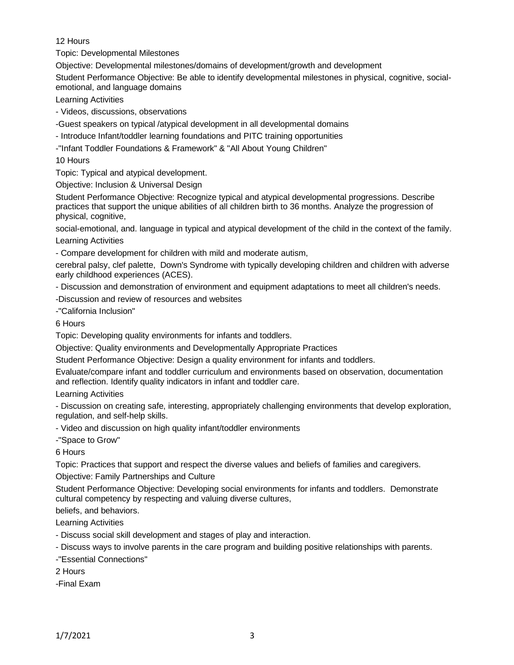# 12 Hours

Topic: Developmental Milestones

Objective: Developmental milestones/domains of development/growth and development

Student Performance Objective: Be able to identify developmental milestones in physical, cognitive, socialemotional, and language domains

Learning Activities

- Videos, discussions, observations

-Guest speakers on typical /atypical development in all developmental domains

- Introduce Infant/toddler learning foundations and PITC training opportunities

-"Infant Toddler Foundations & Framework" & "All About Young Children"

10 Hours

Topic: Typical and atypical development.

Objective: Inclusion & Universal Design

Student Performance Objective: Recognize typical and atypical developmental progressions. Describe practices that support the unique abilities of all children birth to 36 months. Analyze the progression of physical, cognitive,

social-emotional, and. language in typical and atypical development of the child in the context of the family.

Learning Activities

- Compare development for children with mild and moderate autism,

cerebral palsy, clef palette, Down's Syndrome with typically developing children and children with adverse early childhood experiences (ACES).

- Discussion and demonstration of environment and equipment adaptations to meet all children's needs.

-Discussion and review of resources and websites

-"California Inclusion"

6 Hours

Topic: Developing quality environments for infants and toddlers.

Objective: Quality environments and Developmentally Appropriate Practices

Student Performance Objective: Design a quality environment for infants and toddlers.

Evaluate/compare infant and toddler curriculum and environments based on observation, documentation and reflection. Identify quality indicators in infant and toddler care.

Learning Activities

- Discussion on creating safe, interesting, appropriately challenging environments that develop exploration, regulation, and self-help skills.

- Video and discussion on high quality infant/toddler environments

-"Space to Grow"

6 Hours

Topic: Practices that support and respect the diverse values and beliefs of families and caregivers.

Objective: Family Partnerships and Culture

Student Performance Objective: Developing social environments for infants and toddlers. Demonstrate cultural competency by respecting and valuing diverse cultures,

beliefs, and behaviors.

Learning Activities

- Discuss social skill development and stages of play and interaction.

- Discuss ways to involve parents in the care program and building positive relationships with parents.

-"Essential Connections"

2 Hours

-Final Exam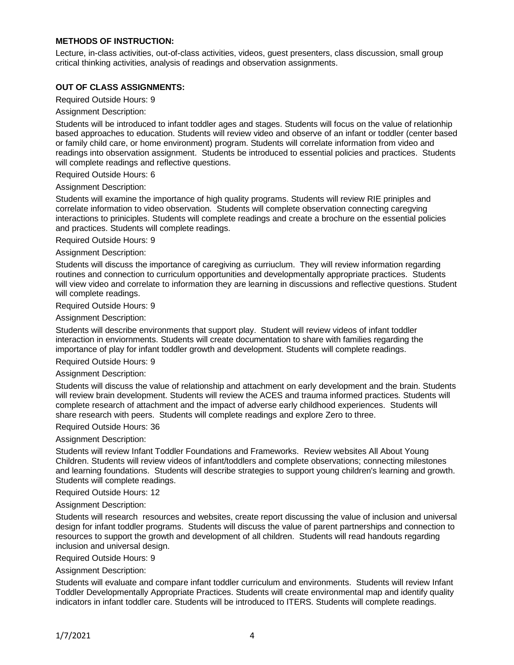## **METHODS OF INSTRUCTION:**

Lecture, in-class activities, out-of-class activities, videos, guest presenters, class discussion, small group critical thinking activities, analysis of readings and observation assignments.

## **OUT OF CLASS ASSIGNMENTS:**

Required Outside Hours: 9

Assignment Description:

Students will be introduced to infant toddler ages and stages. Students will focus on the value of relationhip based approaches to education. Students will review video and observe of an infant or toddler (center based or family child care, or home environment) program. Students will correlate information from video and readings into observation assignment. Students be introduced to essential policies and practices. Students will complete readings and reflective questions.

Required Outside Hours: 6

Assignment Description:

Students will examine the importance of high quality programs. Students will review RIE priniples and correlate information to video observation. Students will complete observation connecting caregving interactions to priniciples. Students will complete readings and create a brochure on the essential policies and practices. Students will complete readings.

Required Outside Hours: 9

#### Assignment Description:

Students will discuss the importance of caregiving as curriuclum. They will review information regarding routines and connection to curriculum opportunities and developmentally appropriate practices. Students will view video and correlate to information they are learning in discussions and reflective questions. Student will complete readings.

Required Outside Hours: 9

#### Assignment Description:

Students will describe environments that support play. Student will review videos of infant toddler interaction in enviornments. Students will create documentation to share with families regarding the importance of play for infant toddler growth and development. Students will complete readings.

Required Outside Hours: 9

#### Assignment Description:

Students will discuss the value of relationship and attachment on early development and the brain. Students will review brain development. Students will review the ACES and trauma informed practices. Students will complete research of attachment and the impact of adverse early childhood experiences. Students will share research with peers. Students will complete readings and explore Zero to three.

## Required Outside Hours: 36

## Assignment Description:

Students will review Infant Toddler Foundations and Frameworks. Review websites All About Young Children. Students will review videos of infant/toddlers and complete observations; connecting milestones and learning foundations. Students will describe strategies to support young children's learning and growth. Students will complete readings.

Required Outside Hours: 12

### Assignment Description:

Students will research resources and websites, create report discussing the value of inclusion and universal design for infant toddler programs. Students will discuss the value of parent partnerships and connection to resources to support the growth and development of all children. Students will read handouts regarding inclusion and universal design.

### Required Outside Hours: 9

### Assignment Description:

Students will evaluate and compare infant toddler curriculum and environments. Students will review Infant Toddler Developmentally Appropriate Practices. Students will create environmental map and identify quality indicators in infant toddler care. Students will be introduced to ITERS. Students will complete readings.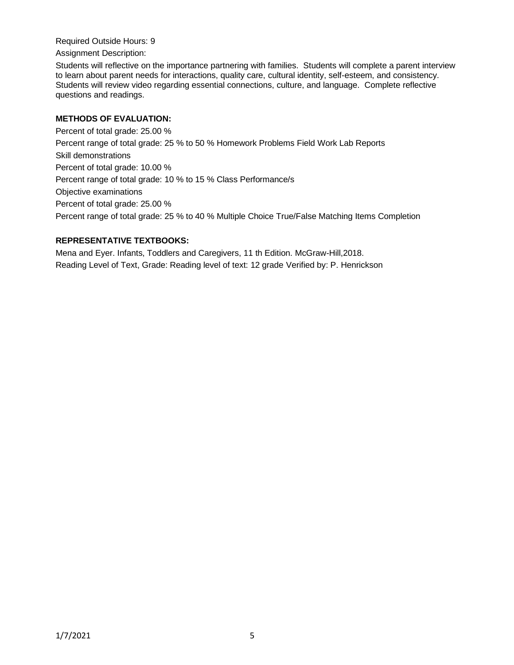Required Outside Hours: 9

Assignment Description:

Students will reflective on the importance partnering with families. Students will complete a parent interview to learn about parent needs for interactions, quality care, cultural identity, self-esteem, and consistency. Students will review video regarding essential connections, culture, and language. Complete reflective questions and readings.

# **METHODS OF EVALUATION:**

Percent of total grade: 25.00 % Percent range of total grade: 25 % to 50 % Homework Problems Field Work Lab Reports Skill demonstrations Percent of total grade: 10.00 % Percent range of total grade: 10 % to 15 % Class Performance/s Objective examinations Percent of total grade: 25.00 % Percent range of total grade: 25 % to 40 % Multiple Choice True/False Matching Items Completion

# **REPRESENTATIVE TEXTBOOKS:**

Mena and Eyer. Infants, Toddlers and Caregivers, 11 th Edition. McGraw-Hill,2018. Reading Level of Text, Grade: Reading level of text: 12 grade Verified by: P. Henrickson